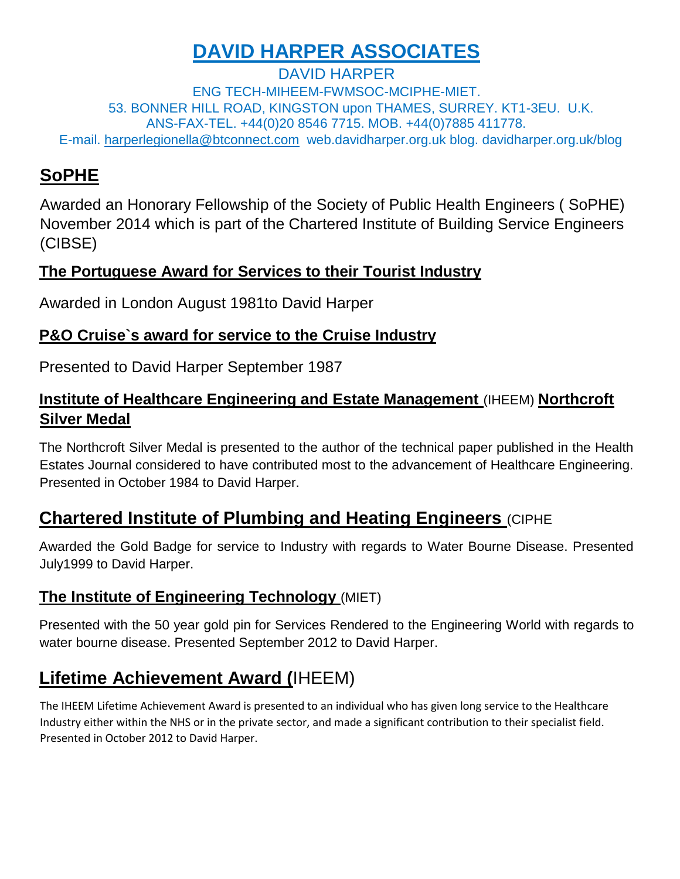# **DAVID HARPER ASSOCIATES**

DAVID HARPER ENG TECH-MIHEEM-FWMSOC-MCIPHE-MIET. 53. BONNER HILL ROAD, KINGSTON upon THAMES, SURREY. KT1-3EU. U.K. ANS-FAX-TEL. +44(0)20 8546 7715. MOB. +44(0)7885 411778. E-mail. harperlegionella@btconnect.com web.davidharper.org.uk blog. davidharper.org.uk/blog

## **SoPHE**

Awarded an Honorary Fellowship of the Society of Public Health Engineers ( SoPHE) November 2014 which is part of the Chartered Institute of Building Service Engineers (CIBSE)

#### **The Portuguese Award for Services to their Tourist Industry**

Awarded in London August 1981to David Harper

#### **P&O Cruise`s award for service to the Cruise Industry**

Presented to David Harper September 1987

#### **Institute of Healthcare Engineering and Estate Management (IHEEM) Northcroft Silver Medal**

The Northcroft Silver Medal is presented to the author of the technical paper published in the Health Estates Journal considered to have contributed most to the advancement of Healthcare Engineering. Presented in October 1984 to David Harper.

### **Chartered Institute of Plumbing and Heating Engineers** (CIPHE

Awarded the Gold Badge for service to Industry with regards to Water Bourne Disease. Presented July1999 to David Harper.

### **The Institute of Engineering Technology** (MIET)

Presented with the 50 year gold pin for Services Rendered to the Engineering World with regards to water bourne disease. Presented September 2012 to David Harper.

# **Lifetime Achievement Award (**IHEEM)

The IHEEM Lifetime Achievement Award is presented to an individual who has given long service to the Healthcare Industry either within the NHS or in the private sector, and made a significant contribution to their specialist field. Presented in October 2012 to David Harper.